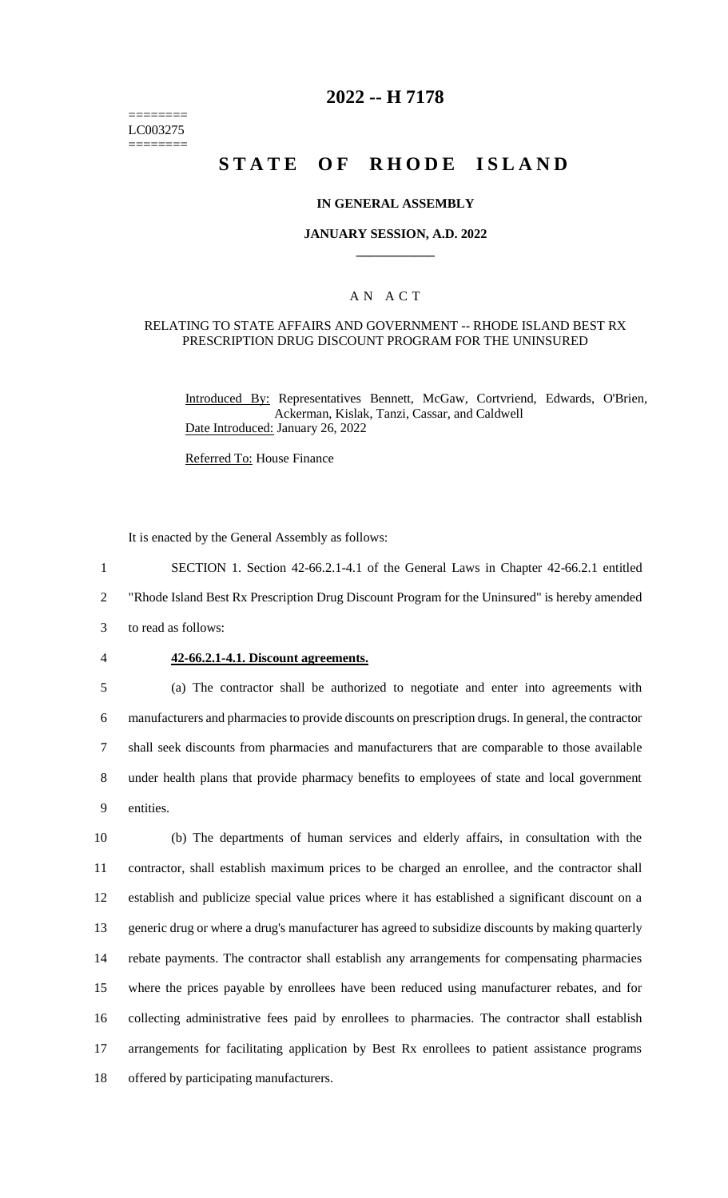======== LC003275 ========

# **2022 -- H 7178**

# **STATE OF RHODE ISLAND**

### **IN GENERAL ASSEMBLY**

### **JANUARY SESSION, A.D. 2022 \_\_\_\_\_\_\_\_\_\_\_\_**

### A N A C T

#### RELATING TO STATE AFFAIRS AND GOVERNMENT -- RHODE ISLAND BEST RX PRESCRIPTION DRUG DISCOUNT PROGRAM FOR THE UNINSURED

Introduced By: Representatives Bennett, McGaw, Cortvriend, Edwards, O'Brien, Ackerman, Kislak, Tanzi, Cassar, and Caldwell Date Introduced: January 26, 2022

Referred To: House Finance

It is enacted by the General Assembly as follows:

1 SECTION 1. Section 42-66.2.1-4.1 of the General Laws in Chapter 42-66.2.1 entitled 2 "Rhode Island Best Rx Prescription Drug Discount Program for the Uninsured" is hereby amended

3 to read as follows:

#### 4 **42-66.2.1-4.1. Discount agreements.**

 (a) The contractor shall be authorized to negotiate and enter into agreements with manufacturers and pharmacies to provide discounts on prescription drugs. In general, the contractor shall seek discounts from pharmacies and manufacturers that are comparable to those available under health plans that provide pharmacy benefits to employees of state and local government entities.

 (b) The departments of human services and elderly affairs, in consultation with the contractor, shall establish maximum prices to be charged an enrollee, and the contractor shall establish and publicize special value prices where it has established a significant discount on a generic drug or where a drug's manufacturer has agreed to subsidize discounts by making quarterly rebate payments. The contractor shall establish any arrangements for compensating pharmacies where the prices payable by enrollees have been reduced using manufacturer rebates, and for collecting administrative fees paid by enrollees to pharmacies. The contractor shall establish arrangements for facilitating application by Best Rx enrollees to patient assistance programs offered by participating manufacturers.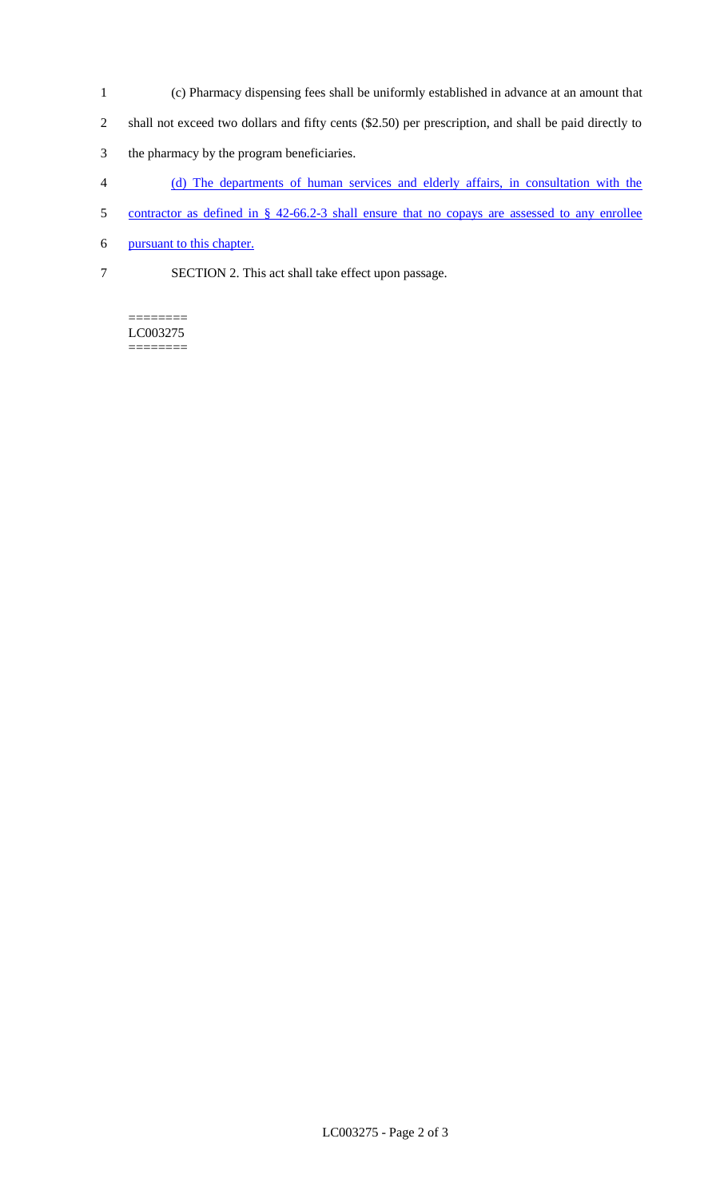- 1 (c) Pharmacy dispensing fees shall be uniformly established in advance at an amount that
- 2 shall not exceed two dollars and fifty cents (\$2.50) per prescription, and shall be paid directly to
- 3 the pharmacy by the program beneficiaries.
- 4 (d) The departments of human services and elderly affairs, in consultation with the
- 5 contractor as defined in § 42-66.2-3 shall ensure that no copays are assessed to any enrollee
- 6 pursuant to this chapter.
- 7 SECTION 2. This act shall take effect upon passage.

======== LC003275 ========